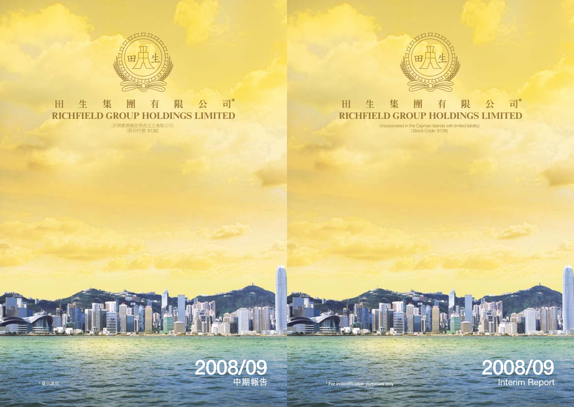

#### 限 公 司\* 田 生 集 團 有 **RICHFIELD GROUP HOLDINGS LIMITED**

(incorporated in the Cayman Islands with limited liability) (Stock Code: 8136)



\* For indentification purposes only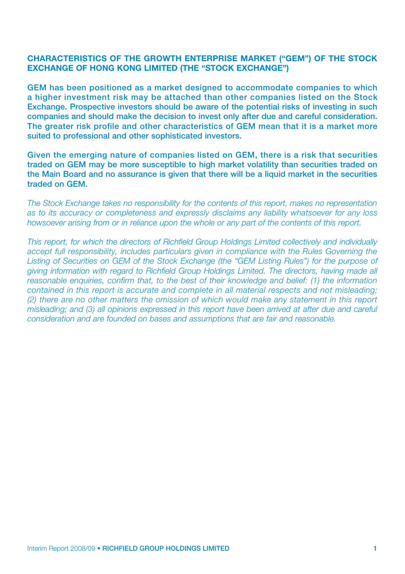### CHARACTERISTICS OF THE GROWTH ENTERPRISE MARKET ("GEM") OF THE STOCK EXCHANGE OF HONG KONG LIMITED (THE "STOCK EXCHANGE")

GEM has been positioned as a market designed to accommodate companies to which a higher investment risk may be attached than other companies listed on the Stock Exchange. Prospective investors should be aware of the potential risks of investing in such companies and should make the decision to invest only after due and careful consideration. The greater risk profile and other characteristics of GEM mean that it is a market more suited to professional and other sophisticated investors.

Given the emerging nature of companies listed on GEM, there is a risk that securities traded on GEM may be more susceptible to high market volatility than securities traded on the Main Board and no assurance is given that there will be a liquid market in the securities traded on GEM.

*The Stock Exchange takes no responsibility for the contents of this report, makes no representation as to its accuracy or completeness and expressly disclaims any liability whatsoever for any loss howsoever arising from or in reliance upon the whole or any part of the contents of this report.*

*This report, for which the directors of Richfield Group Holdings Limited collectively and individually accept full responsibility, includes particulars given in compliance with the Rules Governing the Listing of Securities on GEM of the Stock Exchange (the "GEM Listing Rules") for the purpose of giving information with regard to Richfield Group Holdings Limited. The directors, having made all reasonable enquiries, confirm that, to the best of their knowledge and belief: (1) the information contained in this report is accurate and complete in all material respects and not misleading; (2) there are no other matters the omission of which would make any statement in this report misleading; and (3) all opinions expressed in this report have been arrived at after due and careful consideration and are founded on bases and assumptions that are fair and reasonable.*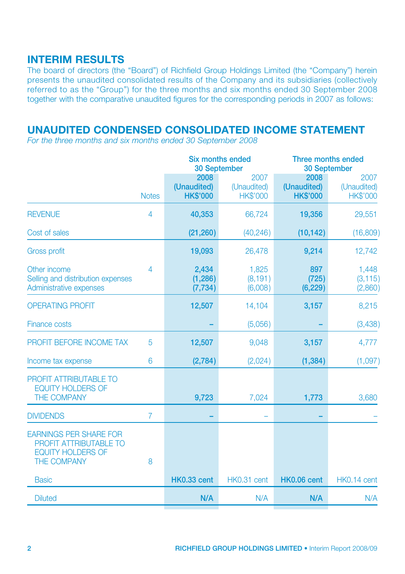# INTERIM RESULTS

The board of directors (the "Board") of Richfield Group Holdings Limited (the "Company") herein presents the unaudited consolidated results of the Company and its subsidiaries (collectively referred to as the "Group") for the three months and six months ended 30 September 2008 together with the comparative unaudited figures for the corresponding periods in 2007 as follows:

# UNAUDITED CONDENSED CONSOLIDATED INCOME STATEMENT

*For the three months and six months ended 30 September 2008*

|                                                                                                                  |                |                                        | Six months ended<br><b>30 September</b> |                                        | Three months ended<br><b>30 September</b> |  |  |
|------------------------------------------------------------------------------------------------------------------|----------------|----------------------------------------|-----------------------------------------|----------------------------------------|-------------------------------------------|--|--|
|                                                                                                                  | <b>Notes</b>   | 2008<br>(Unaudited)<br><b>HK\$'000</b> | 2007<br>(Unaudited)<br><b>HK\$'000</b>  | 2008<br>(Unaudited)<br><b>HK\$'000</b> | 2007<br>(Unaudited)<br><b>HK\$'000</b>    |  |  |
| <b>REVENUE</b>                                                                                                   | $\overline{4}$ | 40,353                                 | 66,724                                  | 19,356                                 | 29,551                                    |  |  |
| Cost of sales                                                                                                    |                | (21, 260)                              | (40, 246)                               | (10, 142)                              | (16,809)                                  |  |  |
| <b>Gross profit</b>                                                                                              |                | 19,093                                 | 26,478                                  | 9,214                                  | 12,742                                    |  |  |
| Other income<br>Selling and distribution expenses<br>Administrative expenses                                     | 4              | 2,434<br>(1, 286)<br>(7, 734)          | 1,825<br>(8, 191)<br>(6,008)            | 897<br>(725)<br>(6, 229)               | 1,448<br>(3, 115)<br>(2,860)              |  |  |
| <b>OPERATING PROFIT</b>                                                                                          |                | 12,507                                 | 14,104                                  | 3,157                                  | 8,215                                     |  |  |
| Finance costs                                                                                                    |                |                                        | (5,056)                                 |                                        | (3,438)                                   |  |  |
| PROFIT BEFORE INCOME TAX                                                                                         | 5              | 12,507                                 | 9,048                                   | 3,157                                  | 4,777                                     |  |  |
| Income tax expense                                                                                               | 6              | (2,784)                                | (2,024)                                 | (1, 384)                               | (1,097)                                   |  |  |
| <b>PROFIT ATTRIBUTABLE TO</b><br><b>EQUITY HOLDERS OF</b><br>THE COMPANY                                         |                | 9,723                                  | 7,024                                   | 1,773                                  | 3,680                                     |  |  |
| <b>DIVIDENDS</b>                                                                                                 | $\overline{7}$ |                                        |                                         |                                        |                                           |  |  |
| <b>EARNINGS PER SHARE FOR</b><br><b>PROFIT ATTRIBUTABLE TO</b><br><b>EQUITY HOLDERS OF</b><br><b>THE COMPANY</b> | 8              |                                        |                                         |                                        |                                           |  |  |
| <b>Basic</b>                                                                                                     |                | <b>HK0.33 cent</b>                     | HK0.31 cent                             | <b>HK0.06 cent</b>                     | HK0.14 cent                               |  |  |
| <b>Diluted</b>                                                                                                   |                | N/A                                    | N/A                                     | N/A                                    | N/A                                       |  |  |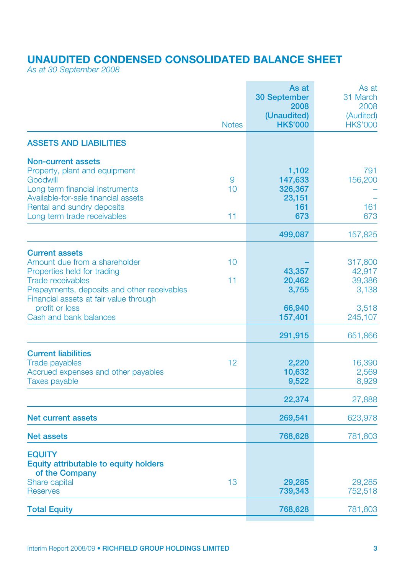# UNAUDITED CONDENSED CONSOLIDATED BALANCE SHEET

*As at 30 September 2008*

|                                                                                                                                                                                                               |               | As at<br>30 September<br>2008<br>(Unaudited)        | As at<br>31 March<br>2008<br>(Audited) |
|---------------------------------------------------------------------------------------------------------------------------------------------------------------------------------------------------------------|---------------|-----------------------------------------------------|----------------------------------------|
|                                                                                                                                                                                                               | <b>Notes</b>  | <b>HK\$'000</b>                                     | <b>HK\$'000</b>                        |
| <b>ASSETS AND LIABILITIES</b>                                                                                                                                                                                 |               |                                                     |                                        |
| <b>Non-current assets</b><br>Property, plant and equipment<br>Goodwill<br>Long term financial instruments<br>Available-for-sale financial assets<br>Rental and sundry deposits<br>Long term trade receivables | 9<br>10<br>11 | 1,102<br>147,633<br>326,367<br>23,151<br>161<br>673 | 791<br>156,200<br>161<br>673           |
|                                                                                                                                                                                                               |               | 499,087                                             | 157,825                                |
| <b>Current assets</b><br>Amount due from a shareholder<br>Properties held for trading<br><b>Trade receivables</b><br>Prepayments, deposits and other receivables<br>Financial assets at fair value through    | 10<br>11      | 43,357<br>20,462<br>3,755                           | 317,800<br>42,917<br>39,386<br>3,138   |
| profit or loss<br>Cash and bank balances                                                                                                                                                                      |               | 66,940<br>157,401                                   | 3,518<br>245,107                       |
|                                                                                                                                                                                                               |               | 291,915                                             | 651,866                                |
| <b>Current liabilities</b><br><b>Trade payables</b><br>Accrued expenses and other payables<br><b>Taxes payable</b>                                                                                            | 12            | 2,220<br>10,632<br>9,522                            | 16,390<br>2,569<br>8,929               |
|                                                                                                                                                                                                               |               | 22,374                                              | 27,888                                 |
| Net current assets                                                                                                                                                                                            |               | 269,541                                             | 623,978                                |
| <b>Net assets</b>                                                                                                                                                                                             |               | 768,628                                             | 781,803                                |
| <b>EQUITY</b><br>Equity attributable to equity holders<br>of the Company                                                                                                                                      |               |                                                     |                                        |
| Share capital<br><b>Reserves</b>                                                                                                                                                                              | 13            | 29,285<br>739,343                                   | 29,285<br>752,518                      |
| <b>Total Equity</b>                                                                                                                                                                                           |               | 768,628                                             | 781,803                                |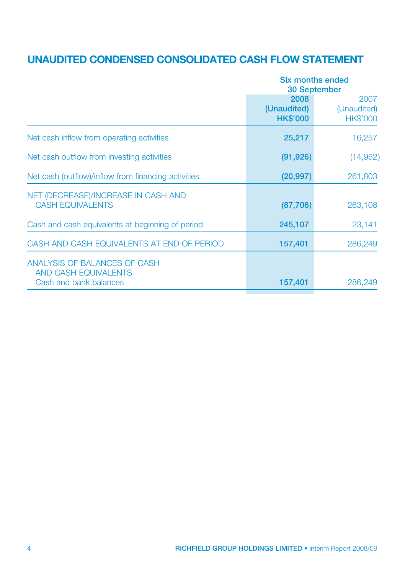# UNAUDITED CONDENSED CONSOLIDATED CASH FLOW STATEMENT

| (Unaudited)<br><b>HK\$'000</b> | 2007<br>(Unaudited)<br><b>HK\$'000</b> |
|--------------------------------|----------------------------------------|
| 25,217                         | 16,257                                 |
| (91, 926)                      | (14, 952)                              |
| (20, 997)                      | 261,803                                |
| (87,706)                       | 263,108                                |
| 245,107                        | 23,141                                 |
| 157,401                        | 286,249                                |
| 157,401                        | 286,249                                |
|                                | 30 September<br>2008                   |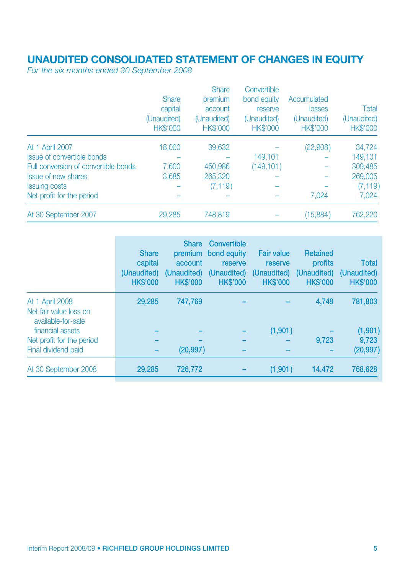# UNAUDITED CONSOLIDATED STATEMENT OF CHANGES IN EQUITY

*For the six months ended 30 September 2008*

| <b>Share</b><br>capital<br>(Unaudited)<br><b>HK\$'000</b> | premium<br>account<br>(Unaudited)<br><b>HK\$'000</b> | bond equity<br>reserve<br>(Unaudited)<br><b>HK\$'000</b> | Accumulated<br>losses<br>(Unaudited)<br><b>HK\$'000</b> | Total<br>(Unaudited)<br><b>HK\$'000</b> |
|-----------------------------------------------------------|------------------------------------------------------|----------------------------------------------------------|---------------------------------------------------------|-----------------------------------------|
| 18,000                                                    | 39,632                                               |                                                          | (22,908)                                                | 34,724                                  |
|                                                           |                                                      | 149.101                                                  |                                                         | 149.101                                 |
| 7,600                                                     | 450,986                                              | (149, 101)                                               |                                                         | 309,485                                 |
| 3,685                                                     | 265,320                                              |                                                          |                                                         | 269,005                                 |
|                                                           | (7, 119)                                             |                                                          |                                                         | (7, 119)                                |
|                                                           |                                                      |                                                          | 7.024                                                   | 7.024                                   |
| 29,285                                                    | 748,819                                              |                                                          | (15,884)                                                | 762,220                                 |
|                                                           |                                                      | <b>Share</b>                                             | Convertible                                             |                                         |

|                                                                 | <b>Share</b><br>capital<br>(Unaudited)<br><b>HK\$'000</b> | <b>Share</b><br>account<br>(Unaudited)<br><b>HK\$'000</b> | Convertible<br>premium bond equity<br>reserve<br>(Unaudited)<br><b>HK\$'000</b> | <b>Fair value</b><br>reserve<br>(Unaudited)<br><b>HK\$'000</b> | <b>Retained</b><br>profits<br>(Unaudited)<br><b>HK\$'000</b> | <b>Total</b><br>(Unaudited)<br><b>HK\$'000</b> |
|-----------------------------------------------------------------|-----------------------------------------------------------|-----------------------------------------------------------|---------------------------------------------------------------------------------|----------------------------------------------------------------|--------------------------------------------------------------|------------------------------------------------|
| At 1 April 2008<br>Net fair value loss on<br>available-for-sale | 29.285                                                    | 747,769                                                   |                                                                                 |                                                                | 4.749                                                        | 781,803                                        |
| financial assets                                                |                                                           |                                                           |                                                                                 | (1,901)                                                        |                                                              | (1, 901)                                       |
| Net profit for the period                                       |                                                           |                                                           |                                                                                 |                                                                | 9.723                                                        | 9.723                                          |
| Final dividend paid                                             |                                                           | (20, 997)                                                 |                                                                                 |                                                                |                                                              | (20, 997)                                      |
| At 30 September 2008                                            | 29.285                                                    | 726,772                                                   |                                                                                 | (1,901)                                                        | 14,472                                                       | 768,628                                        |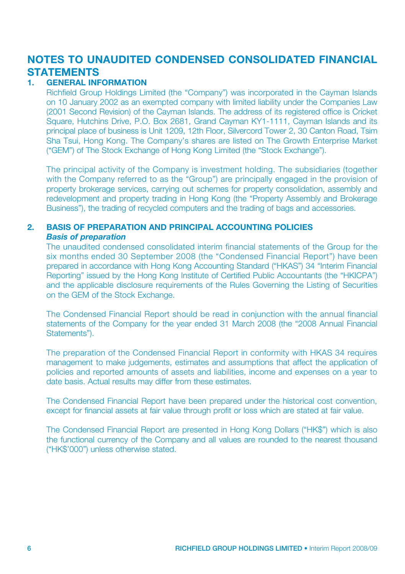# NOTES TO UNAUDITED CONDENSED CONSOLIDATED FINANCIAL **STATEMENTS**

#### **GENERAL INFORMATION**

Richfield Group Holdings Limited (the "Company") was incorporated in the Cayman Islands on 10 January 2002 as an exempted company with limited liability under the Companies Law (2001 Second Revision) of the Cayman Islands. The address of its registered office is Cricket Square, Hutchins Drive, P.O. Box 2681, Grand Cayman KY1-1111, Cayman Islands and its principal place of business is Unit 1209, 12th Floor, Silvercord Tower 2, 30 Canton Road, Tsim Sha Tsui, Hong Kong. The Company's shares are listed on The Growth Enterprise Market ("GEM") of The Stock Exchange of Hong Kong Limited (the "Stock Exchange").

The principal activity of the Company is investment holding. The subsidiaries (together with the Company referred to as the "Group") are principally engaged in the provision of property brokerage services, carrying out schemes for property consolidation, assembly and redevelopment and property trading in Hong Kong (the "Property Assembly and Brokerage Business"), the trading of recycled computers and the trading of bags and accessories.

# 2. BASIS OF PREPARATION AND PRINCIPAL ACCOUNTING POLICIES

# *Basis of preparation*

The unaudited condensed consolidated interim financial statements of the Group for the six months ended 30 September 2008 (the "Condensed Financial Report") have been prepared in accordance with Hong Kong Accounting Standard ("HKAS") 34 "Interim Financial Reporting" issued by the Hong Kong Institute of Certified Public Accountants (the "HKICPA") and the applicable disclosure requirements of the Rules Governing the Listing of Securities on the GEM of the Stock Exchange.

The Condensed Financial Report should be read in conjunction with the annual financial statements of the Company for the year ended 31 March 2008 (the "2008 Annual Financial Statements").

The preparation of the Condensed Financial Report in conformity with HKAS 34 requires management to make judgements, estimates and assumptions that affect the application of policies and reported amounts of assets and liabilities, income and expenses on a year to date basis. Actual results may differ from these estimates.

The Condensed Financial Report have been prepared under the historical cost convention, except for financial assets at fair value through profit or loss which are stated at fair value.

The Condensed Financial Report are presented in Hong Kong Dollars ("HK\$") which is also the functional currency of the Company and all values are rounded to the nearest thousand ("HK\$'000") unless otherwise stated.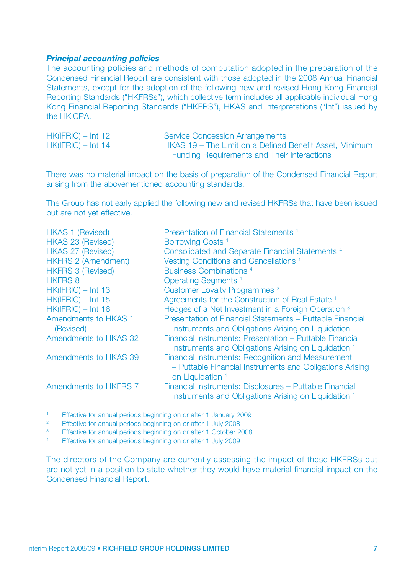#### *Principal accounting policies*

The accounting policies and methods of computation adopted in the preparation of the Condensed Financial Report are consistent with those adopted in the 2008 Annual Financial Statements, except for the adoption of the following new and revised Hong Kong Financial Reporting Standards ("HKFRSs"), which collective term includes all applicable individual Hong Kong Financial Reporting Standards ("HKFRS"), HKAS and Interpretations ("Int") issued by the HKICPA.

| $HK(IFRIC) - Int 12$ | <b>Service Concession Arrangements</b>                  |
|----------------------|---------------------------------------------------------|
| $HK(IFRIC) - Int 14$ | HKAS 19 – The Limit on a Defined Benefit Asset, Minimum |
|                      | <b>Funding Requirements and Their Interactions</b>      |

There was no material impact on the basis of preparation of the Condensed Financial Report arising from the abovementioned accounting standards.

The Group has not early applied the following new and revised HKFRSs that have been issued but are not yet effective.

| <b>HKAS 1 (Revised)</b>           | Presentation of Financial Statements <sup>1</sup>                                                                                             |
|-----------------------------------|-----------------------------------------------------------------------------------------------------------------------------------------------|
| <b>HKAS 23 (Revised)</b>          | Borrowing Costs <sup>1</sup>                                                                                                                  |
| <b>HKAS 27 (Revised)</b>          | Consolidated and Separate Financial Statements <sup>4</sup>                                                                                   |
| <b>HKFRS 2 (Amendment)</b>        | Vesting Conditions and Cancellations <sup>1</sup>                                                                                             |
| <b>HKFRS 3 (Revised)</b>          | Business Combinations <sup>4</sup>                                                                                                            |
| <b>HKFRS 8</b>                    | Operating Segments <sup>1</sup>                                                                                                               |
| $HK(IFRIC) - Int 13$              | Customer Loyalty Programmes <sup>2</sup>                                                                                                      |
| $HK(IFRIC) - Int 15$              | Agreements for the Construction of Real Estate 1                                                                                              |
| $HK(IFRIC) - Int 16$              | Hedges of a Net Investment in a Foreign Operation <sup>3</sup>                                                                                |
| Amendments to HKAS 1<br>(Revised) | Presentation of Financial Statements - Puttable Financial<br>Instruments and Obligations Arising on Liquidation 1                             |
| Amendments to HKAS 32             | Financial Instruments: Presentation - Puttable Financial<br>Instruments and Obligations Arising on Liquidation 1                              |
| Amendments to HKAS 39             | Financial Instruments: Recognition and Measurement<br>- Puttable Financial Instruments and Obligations Arising<br>on Liquidation <sup>1</sup> |
| Amendments to HKFRS 7             | Financial Instruments: Disclosures - Puttable Financial<br>Instruments and Obligations Arising on Liquidation 1                               |
|                                   |                                                                                                                                               |

<sup>1</sup> Effective for annual periods beginning on or after 1 January 2009

<sup>2</sup> Effective for annual periods beginning on or after 1 July 2008

<sup>3</sup> Effective for annual periods beginning on or after 1 October 2008<br>
Effective for annual periods beginning on or after 1 July 2009

Effective for annual periods beginning on or after 1 July 2009

The directors of the Company are currently assessing the impact of these HKFRSs but are not yet in a position to state whether they would have material financial impact on the Condensed Financial Report.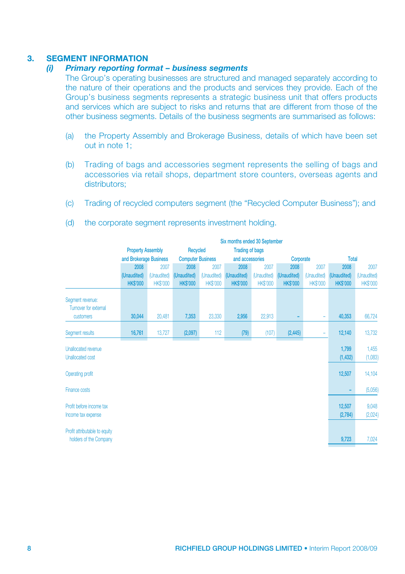# 3. SEGMENT INFORMATION

### *(i) Primary reporting format – business segments*

The Group's operating businesses are structured and managed separately according to the nature of their operations and the products and services they provide. Each of the Group's business segments represents a strategic business unit that offers products and services which are subject to risks and returns that are different from those of the other business segments. Details of the business segments are summarised as follows:

- (a) the Property Assembly and Brokerage Business, details of which have been set out in note 1;
- (b) Trading of bags and accessories segment represents the selling of bags and accessories via retail shops, department store counters, overseas agents and distributors:
- (c) Trading of recycled computers segment (the "Recycled Computer Business"); and

|                                                         |                          | Six months ended 30 September |                          |                 |                        |                 |                 |                 |                   |                  |  |
|---------------------------------------------------------|--------------------------|-------------------------------|--------------------------|-----------------|------------------------|-----------------|-----------------|-----------------|-------------------|------------------|--|
|                                                         | <b>Property Assembly</b> |                               | Recycled                 |                 | <b>Trading of bags</b> |                 |                 |                 |                   |                  |  |
|                                                         | and Brokerage Business   |                               | <b>Computer Business</b> |                 | and accessories        |                 |                 | Corporate       |                   | <b>Total</b>     |  |
|                                                         | 2008                     | 2007                          | 2008                     | 2007            | 2008                   | 2007            | 2008            | 2007            | 2008              | 2007             |  |
|                                                         | (Unaudited)              | (Unaudited)                   | (Unaudited)              | (Unaudited)     | (Unaudited)            | (Unaudited)     | (Unaudited)     | (Unaudited)     | (Unaudited)       | (Unaudited)      |  |
|                                                         | <b>HKS'000</b>           | <b>HK\$'000</b>               | <b>HK\$'000</b>          | <b>HK\$'000</b> | <b>HK\$'000</b>        | <b>HK\$'000</b> | <b>HK\$'000</b> | <b>HK\$'000</b> | <b>HK\$'000</b>   | <b>HK\$'000</b>  |  |
| Segment revenue:<br>Turnover for external               |                          |                               |                          |                 |                        |                 |                 |                 |                   |                  |  |
| customers                                               | 30,044                   | 20,481                        | 7,353                    | 23,330          | 2,956                  | 22,913          |                 | ÷               | 40,353            | 66,724           |  |
| Segment results                                         | 16,761                   | 13,727                        | (2,097)                  | 112             | (79)                   | (107)           | (2, 445)        | ۰               | 12,140            | 13,732           |  |
| <b>Unallocated revenue</b><br><b>Unallocated cost</b>   |                          |                               |                          |                 |                        |                 |                 |                 | 1,799<br>(1, 432) | 1,455<br>(1,083) |  |
| <b>Operating profit</b>                                 |                          |                               |                          |                 |                        |                 |                 |                 | 12,507            | 14,104           |  |
| Finance costs                                           |                          |                               |                          |                 |                        |                 |                 |                 | ٠                 | (5,056)          |  |
| Profit before income tax<br>Income tax expense          |                          |                               |                          |                 |                        |                 |                 |                 | 12,507<br>(2,784) | 9,048<br>(2,024) |  |
| Profit attributable to equity<br>holders of the Company |                          |                               |                          |                 |                        |                 |                 |                 | 9,723             | 7,024            |  |

(d) the corporate segment represents investment holding.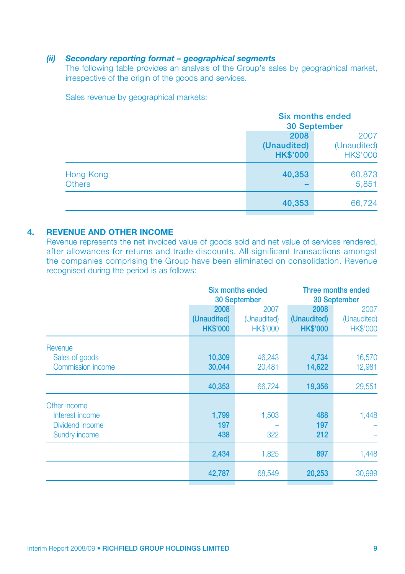### *(ii) Secondary reporting format – geographical segments*

The following table provides an analysis of the Group's sales by geographical market, irrespective of the origin of the goods and services.

Sales revenue by geographical markets:

|                            |                                        | <b>Six months ended</b><br><b>30 September</b> |  |  |
|----------------------------|----------------------------------------|------------------------------------------------|--|--|
|                            | 2008<br>(Unaudited)<br><b>HK\$'000</b> | 2007<br>(Unaudited)<br><b>HK\$'000</b>         |  |  |
| Hong Kong<br><b>Others</b> | 40,353                                 | 60,873<br>5,851                                |  |  |
|                            | 40,353                                 | 66,724                                         |  |  |

### 4. REVENUE AND OTHER INCOME

Revenue represents the net invoiced value of goods sold and net value of services rendered, after allowances for returns and trade discounts. All significant transactions amongst the companies comprising the Group have been eliminated on consolidation. Revenue recognised during the period is as follows:

|                                                                            |                                        | <b>Six months ended</b><br>30 September | Three months ended<br>30 September     |                                        |  |
|----------------------------------------------------------------------------|----------------------------------------|-----------------------------------------|----------------------------------------|----------------------------------------|--|
|                                                                            | 2008<br>(Unaudited)<br><b>HK\$'000</b> | 2007<br>(Unaudited)<br><b>HK\$'000</b>  | 2008<br>(Unaudited)<br><b>HK\$'000</b> | 2007<br>(Unaudited)<br><b>HK\$'000</b> |  |
| Revenue<br>Sales of goods<br>Commission income                             | 10,309<br>30,044                       | 46,243<br>20,481                        | 4,734<br>14,622                        | 16,570<br>12,981                       |  |
|                                                                            | 40,353                                 | 66,724                                  | 19,356                                 | 29,551                                 |  |
| Other income<br>Interest income<br>Dividend income<br><b>Sundry income</b> | 1,799<br>197<br>438                    | 1,503<br>322                            | 488<br>197<br>212                      | 1,448                                  |  |
|                                                                            | 2,434                                  | 1,825                                   | 897                                    | 1,448                                  |  |
|                                                                            | 42,787                                 | 68,549                                  | 20,253                                 | 30,999                                 |  |
|                                                                            |                                        |                                         |                                        |                                        |  |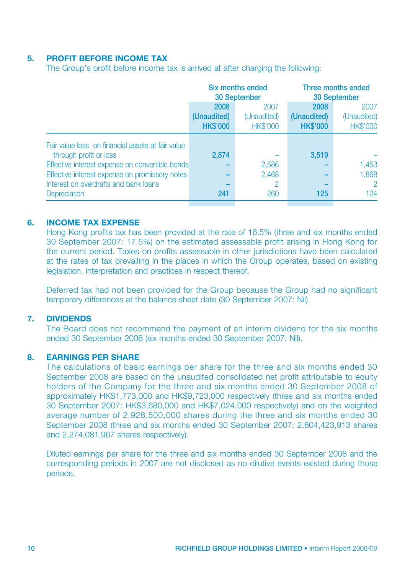### 5. PROFIT BEFORE INCOME TAX

The Group's profit before income tax is arrived at after charging the following:

|                                                   |                 | Six months ended<br>30 September | Three months ended<br>30 September |                 |  |
|---------------------------------------------------|-----------------|----------------------------------|------------------------------------|-----------------|--|
|                                                   | 2008            | 2007                             | 2008                               | 2007            |  |
|                                                   | (Unaudited)     | (Unaudited)                      | (Unaudited)                        | (Unaudited)     |  |
|                                                   | <b>HK\$'000</b> | <b>HK\$'000</b>                  | <b>HK\$'000</b>                    | <b>HK\$'000</b> |  |
| Fair value loss on financial assets at fair value |                 |                                  |                                    |                 |  |
| through profit or loss                            | 2.874           |                                  | 3,519                              |                 |  |
| Effective interest expense on convertible bonds   |                 | 2,586                            |                                    | 1,453           |  |
| Effective interest expense on promissory notes    |                 | 2.468                            |                                    | 1.868           |  |
| Interest on overdrafts and bank loans             |                 | 2                                |                                    | $\mathcal{P}$   |  |
| <b>Depreciation</b>                               | 241             | 260                              | 125                                | 124             |  |
|                                                   |                 |                                  |                                    |                 |  |

#### 6. INCOME TAX EXPENSE

Hong Kong profits tax has been provided at the rate of 16.5% (three and six months ended 30 September 2007: 17.5%) on the estimated assessable profit arising in Hong Kong for the current period. Taxes on profits assessable in other jurisdictions have been calculated at the rates of tax prevailing in the places in which the Group operates, based on existing legislation, interpretation and practices in respect thereof.

Deferred tax had not been provided for the Group because the Group had no significant temporary differences at the balance sheet date (30 September 2007: Nil).

#### 7. DIVIDENDS

The Board does not recommend the payment of an interim dividend for the six months ended 30 September 2008 (six months ended 30 September 2007: Nil).

#### 8. EARNINGS PER SHARE

The calculations of basic earnings per share for the three and six months ended 30 September 2008 are based on the unaudited consolidated net profit attributable to equity holders of the Company for the three and six months ended 30 September 2008 of approximately HK\$1,773,000 and HK\$9,723,000 respectively (three and six months ended 30 September 2007: HK\$3,680,000 and HK\$7,024,000 respectively) and on the weighted average number of 2,928,500,000 shares during the three and six months ended 30 September 2008 (three and six months ended 30 September 2007: 2,604,423,913 shares and 2,274,081,967 shares respectively).

Diluted earnings per share for the three and six months ended 30 September 2008 and the corresponding periods in 2007 are not disclosed as no dilutive events existed during those periods.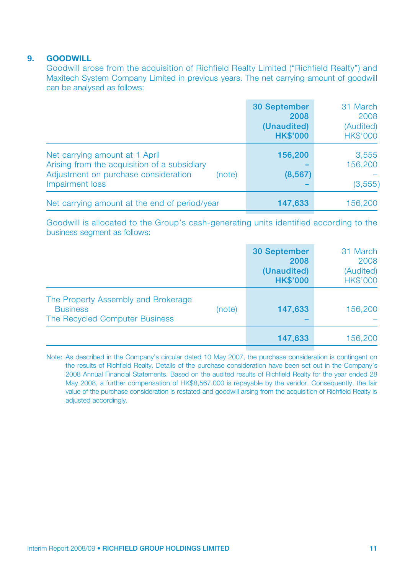### 9. GOODWILL

Goodwill arose from the acquisition of Richfield Realty Limited ("Richfield Realty") and Maxitech System Company Limited in previous years. The net carrying amount of goodwill can be analysed as follows:

|                                                                                                                                                     | <b>30 September</b><br>2008<br>(Unaudited)<br><b>HK\$'000</b> | 31 March<br>2008<br>(Audited)<br><b>HK\$'000</b> |
|-----------------------------------------------------------------------------------------------------------------------------------------------------|---------------------------------------------------------------|--------------------------------------------------|
| Net carrying amount at 1 April<br>Arising from the acquisition of a subsidiary<br>Adjustment on purchase consideration<br>(note)<br>Impairment loss | 156,200<br>(8, 567)                                           | 3,555<br>156,200<br>(3, 555)                     |
| Net carrying amount at the end of period/year                                                                                                       | 147,633                                                       | 156,200                                          |

Goodwill is allocated to the Group's cash-generating units identified according to the business segment as follows:

|                                                                                                    | <b>30 September</b><br>2008<br>(Unaudited)<br><b>HK\$'000</b> | 31 March<br>2008<br>(Audited)<br><b>HK\$'000</b> |
|----------------------------------------------------------------------------------------------------|---------------------------------------------------------------|--------------------------------------------------|
| The Property Assembly and Brokerage<br><b>Business</b><br>(note)<br>The Recycled Computer Business | 147,633                                                       | 156,200                                          |
|                                                                                                    | 147,633                                                       | 156,200                                          |

Note: As described in the Company's circular dated 10 May 2007, the purchase consideration is contingent on the results of Richfield Realty. Details of the purchase consideration have been set out in the Company's 2008 Annual Financial Statements. Based on the audited results of Richfield Realty for the year ended 28 May 2008, a further compensation of HK\$8,567,000 is repayable by the vendor. Consequently, the fair value of the purchase consideration is restated and goodwill arsing from the acquisition of Richfield Realty is adjusted accordingly.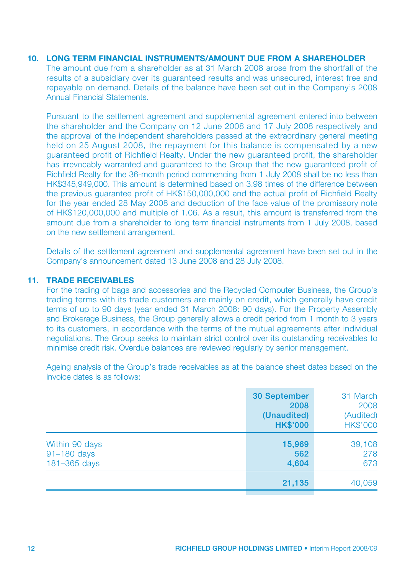#### 10. LONG TERM FINANCIAL INSTRUMENTS/AMOUNT DUE FROM A SHAREHOLDER

The amount due from a shareholder as at 31 March 2008 arose from the shortfall of the results of a subsidiary over its guaranteed results and was unsecured, interest free and repayable on demand. Details of the balance have been set out in the Company's 2008 Annual Financial Statements.

Pursuant to the settlement agreement and supplemental agreement entered into between the shareholder and the Company on 12 June 2008 and 17 July 2008 respectively and the approval of the independent shareholders passed at the extraordinary general meeting held on 25 August 2008, the repayment for this balance is compensated by a new guaranteed profit of Richfield Realty. Under the new guaranteed profit, the shareholder has irrevocably warranted and guaranteed to the Group that the new guaranteed profit of Richfield Realty for the 36-month period commencing from 1 July 2008 shall be no less than HK\$345,949,000. This amount is determined based on 3.98 times of the difference between the previous guarantee profit of HK\$150,000,000 and the actual profit of Richfield Realty for the year ended 28 May 2008 and deduction of the face value of the promissory note of HK\$120,000,000 and multiple of 1.06. As a result, this amount is transferred from the amount due from a shareholder to long term financial instruments from 1 July 2008, based on the new settlement arrangement.

Details of the settlement agreement and supplemental agreement have been set out in the Company's announcement dated 13 June 2008 and 28 July 2008.

### 11. TRADE RECEIVABLES

For the trading of bags and accessories and the Recycled Computer Business, the Group's trading terms with its trade customers are mainly on credit, which generally have credit terms of up to 90 days (year ended 31 March 2008: 90 days). For the Property Assembly and Brokerage Business, the Group generally allows a credit period from 1 month to 3 years to its customers, in accordance with the terms of the mutual agreements after individual negotiations. The Group seeks to maintain strict control over its outstanding receivables to minimise credit risk. Overdue balances are reviewed regularly by senior management.

Ageing analysis of the Group's trade receivables as at the balance sheet dates based on the invoice dates is as follows:

|                                               | <b>30 September</b><br>2008<br>(Unaudited)<br><b>HK\$'000</b> | 31 March<br>2008<br>(Audited)<br><b>HK\$'000</b> |
|-----------------------------------------------|---------------------------------------------------------------|--------------------------------------------------|
| Within 90 days<br>91-180 days<br>181-365 days | 15,969<br>562<br>4,604                                        | 39,108<br>278<br>673                             |
|                                               | 21,135                                                        | 40,059                                           |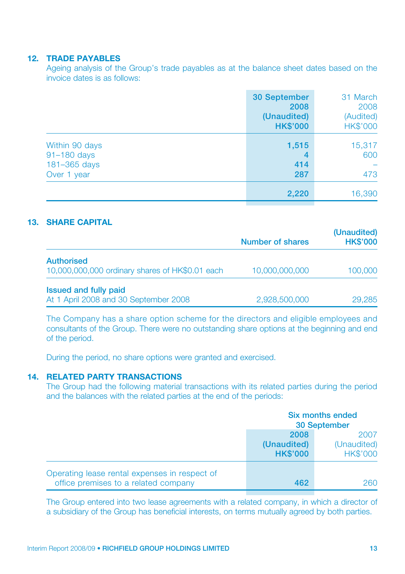#### 12. TRADE PAYABLES

Ageing analysis of the Group's trade payables as at the balance sheet dates based on the invoice dates is as follows:

|                                                              | <b>30 September</b><br>2008<br>(Unaudited)<br><b>HK\$'000</b> | 31 March<br>2008<br>(Audited)<br><b>HK\$'000</b> |
|--------------------------------------------------------------|---------------------------------------------------------------|--------------------------------------------------|
| Within 90 days<br>91-180 days<br>181-365 days<br>Over 1 year | 1,515<br>4<br>414<br>287                                      | 15,317<br>600<br>473                             |
|                                                              | 2,220                                                         | 16,390                                           |

### 13. SHARE CAPITAL

|                                                 | Number of shares | (Unaudited)<br><b>HK\$'000</b> |
|-------------------------------------------------|------------------|--------------------------------|
| <b>Authorised</b>                               |                  |                                |
| 10,000,000,000 ordinary shares of HK\$0.01 each | 10,000,000,000   | 100,000                        |
| <b>Issued and fully paid</b>                    |                  |                                |
| At 1 April 2008 and 30 September 2008           | 2,928,500,000    | 29,285                         |

The Company has a share option scheme for the directors and eligible employees and consultants of the Group. There were no outstanding share options at the beginning and end of the period.

During the period, no share options were granted and exercised.

### 14. RELATED PARTY TRANSACTIONS

The Group had the following material transactions with its related parties during the period and the balances with the related parties at the end of the periods:

|                                                                                       | Six months ended<br>30 September       |                                        |
|---------------------------------------------------------------------------------------|----------------------------------------|----------------------------------------|
|                                                                                       | 2008<br>(Unaudited)<br><b>HK\$'000</b> | 2007<br>(Unaudited)<br><b>HK\$'000</b> |
| Operating lease rental expenses in respect of<br>office premises to a related company | 462                                    | 260                                    |

The Group entered into two lease agreements with a related company, in which a director of a subsidiary of the Group has beneficial interests, on terms mutually agreed by both parties.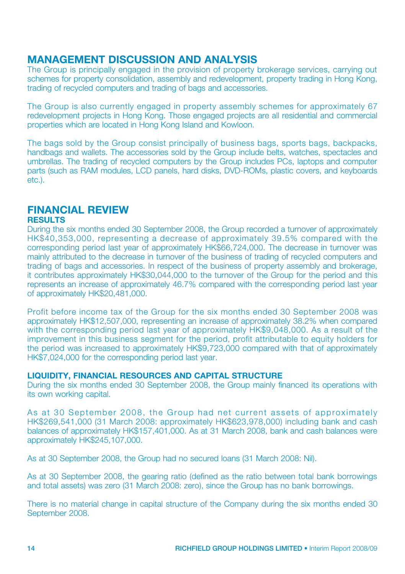# MANAGEMENT DISCUSSION AND ANALYSIS

The Group is principally engaged in the provision of property brokerage services, carrying out schemes for property consolidation, assembly and redevelopment, property trading in Hong Kong, trading of recycled computers and trading of bags and accessories.

The Group is also currently engaged in property assembly schemes for approximately 67 redevelopment projects in Hong Kong. Those engaged projects are all residential and commercial properties which are located in Hong Kong Island and Kowloon.

The bags sold by the Group consist principally of business bags, sports bags, backpacks, handbags and wallets. The accessories sold by the Group include belts, watches, spectacles and umbrellas. The trading of recycled computers by the Group includes PCs, laptops and computer parts (such as RAM modules, LCD panels, hard disks, DVD-ROMs, plastic covers, and keyboards etc.).

#### FINANCIAL REVIEW **RESULTS**

During the six months ended 30 September 2008, the Group recorded a turnover of approximately HK\$40,353,000, representing a decrease of approximately 39.5% compared with the corresponding period last year of approximately HK\$66,724,000. The decrease in turnover was mainly attributed to the decrease in turnover of the business of trading of recycled computers and trading of bags and accessories. In respect of the business of property assembly and brokerage, it contributes approximately HK\$30,044,000 to the turnover of the Group for the period and this represents an increase of approximately 46.7% compared with the corresponding period last year of approximately HK\$20,481,000.

Profit before income tax of the Group for the six months ended 30 September 2008 was approximately HK\$12,507,000, representing an increase of approximately 38.2% when compared with the corresponding period last year of approximately HK\$9,048,000. As a result of the improvement in this business segment for the period, profit attributable to equity holders for the period was increased to approximately HK\$9,723,000 compared with that of approximately HK\$7,024,000 for the corresponding period last year.

### LIQUIDITY, FINANCIAL RESOURCES AND CAPITAL STRUCTURE

During the six months ended 30 September 2008, the Group mainly financed its operations with its own working capital.

As at 30 September 2008, the Group had net current assets of approximately HK\$269,541,000 (31 March 2008: approximately HK\$623,978,000) including bank and cash balances of approximately HK\$157,401,000. As at 31 March 2008, bank and cash balances were approximately HK\$245,107,000.

As at 30 September 2008, the Group had no secured loans (31 March 2008: Nil).

As at 30 September 2008, the gearing ratio (defined as the ratio between total bank borrowings and total assets) was zero (31 March 2008: zero), since the Group has no bank borrowings.

There is no material change in capital structure of the Company during the six months ended 30 September 2008.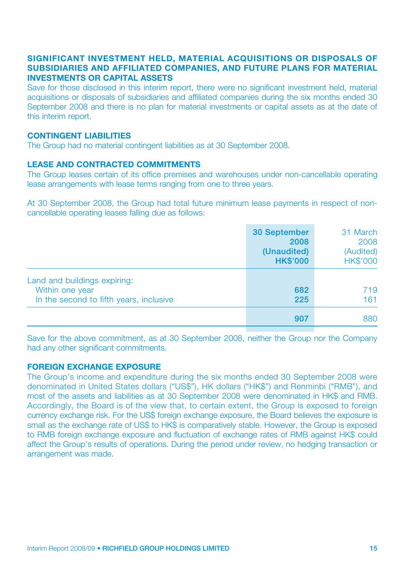### Significant investment held, Material acquisitions or disposals of subsidiaries and affiliated companies, and Future plans for material investments or capital assets

Save for those disclosed in this interim report, there were no significant investment held, material acquisitions or disposals of subsidiaries and affiliated companies during the six months ended 30 September 2008 and there is no plan for material investments or capital assets as at the date of this interim report.

#### **CONTINGENT LIABILITIES**

The Group had no material contingent liabilities as at 30 September 2008.

#### Lease and contracted commitments

The Group leases certain of its office premises and warehouses under non-cancellable operating lease arrangements with lease terms ranging from one to three years.

At 30 September 2008, the Group had total future minimum lease payments in respect of noncancellable operating leases falling due as follows:

|                                                                                            | 30 September<br>2008<br>(Unaudited)<br><b>HK\$'000</b> | 31 March<br>2008<br>(Audited)<br><b>HK\$'000</b> |
|--------------------------------------------------------------------------------------------|--------------------------------------------------------|--------------------------------------------------|
| Land and buildings expiring:<br>Within one year<br>In the second to fifth years, inclusive | 682<br>225                                             | 719<br>161                                       |
|                                                                                            | 907                                                    | 880                                              |

Save for the above commitment, as at 30 September 2008, neither the Group nor the Company had any other significant commitments.

### Foreign exchange exposure

The Group's income and expenditure during the six months ended 30 September 2008 were denominated in United States dollars ("US\$"), HK dollars ("HK\$") and Renminbi ("RMB"), and most of the assets and liabilities as at 30 September 2008 were denominated in HK\$ and RMB. Accordingly, the Board is of the view that, to certain extent, the Group is exposed to foreign currency exchange risk. For the US\$ foreign exchange exposure, the Board believes the exposure is small as the exchange rate of US\$ to HK\$ is comparatively stable. However, the Group is exposed to RMB foreign exchange exposure and fluctuation of exchange rates of RMB against HK\$ could affect the Group's results of operations. During the period under review, no hedging transaction or arrangement was made.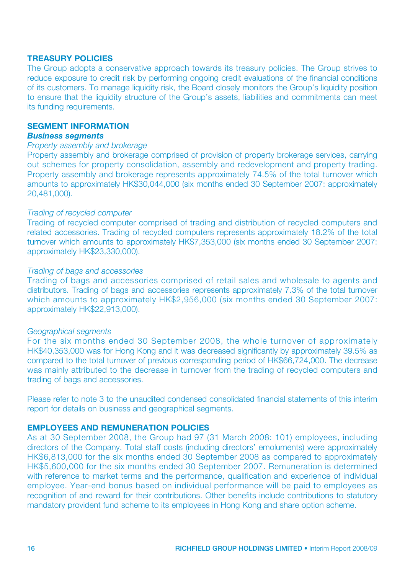#### Treasury policies

The Group adopts a conservative approach towards its treasury policies. The Group strives to reduce exposure to credit risk by performing ongoing credit evaluations of the financial conditions of its customers. To manage liquidity risk, the Board closely monitors the Group's liquidity position to ensure that the liquidity structure of the Group's assets, liabilities and commitments can meet its funding requirements.

### SEGMENT INFORMATION

#### *Business segments*

#### *Property assembly and brokerage*

Property assembly and brokerage comprised of provision of property brokerage services, carrying out schemes for property consolidation, assembly and redevelopment and property trading. Property assembly and brokerage represents approximately 74.5% of the total turnover which amounts to approximately HK\$30,044,000 (six months ended 30 September 2007: approximately 20,481,000).

#### *Trading of recycled computer*

Trading of recycled computer comprised of trading and distribution of recycled computers and related accessories. Trading of recycled computers represents approximately 18.2% of the total turnover which amounts to approximately HK\$7,353,000 (six months ended 30 September 2007: approximately HK\$23,330,000).

#### *Trading of bags and accessories*

Trading of bags and accessories comprised of retail sales and wholesale to agents and distributors. Trading of bags and accessories represents approximately 7.3% of the total turnover which amounts to approximately HK\$2,956,000 (six months ended 30 September 2007: approximately HK\$22,913,000).

#### *Geographical segments*

For the six months ended 30 September 2008, the whole turnover of approximately HK\$40,353,000 was for Hong Kong and it was decreased significantly by approximately 39.5% as compared to the total turnover of previous corresponding period of HK\$66,724,000. The decrease was mainly attributed to the decrease in turnover from the trading of recycled computers and trading of bags and accessories.

Please refer to note 3 to the unaudited condensed consolidated financial statements of this interim report for details on business and geographical segments.

### Employees and remuneration policies

As at 30 September 2008, the Group had 97 (31 March 2008: 101) employees, including directors of the Company. Total staff costs (including directors' emoluments) were approximately HK\$6,813,000 for the six months ended 30 September 2008 as compared to approximately HK\$5,600,000 for the six months ended 30 September 2007. Remuneration is determined with reference to market terms and the performance, qualification and experience of individual employee. Year-end bonus based on individual performance will be paid to employees as recognition of and reward for their contributions. Other benefits include contributions to statutory mandatory provident fund scheme to its employees in Hong Kong and share option scheme.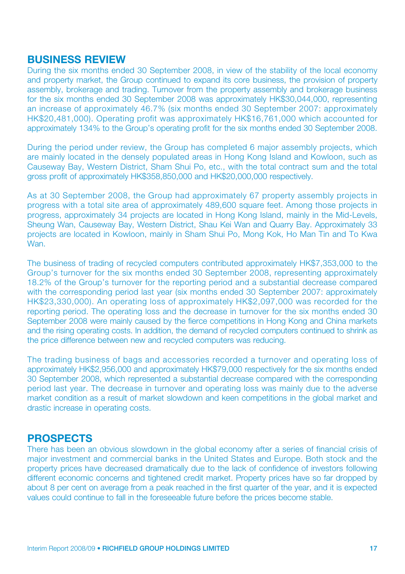## BUSINESS REVIEW

During the six months ended 30 September 2008, in view of the stability of the local economy and property market, the Group continued to expand its core business, the provision of property assembly, brokerage and trading. Turnover from the property assembly and brokerage business for the six months ended 30 September 2008 was approximately HK\$30,044,000, representing an increase of approximately 46.7% (six months ended 30 September 2007: approximately HK\$20,481,000). Operating profit was approximately HK\$16,761,000 which accounted for approximately 134% to the Group's operating profit for the six months ended 30 September 2008.

During the period under review, the Group has completed 6 major assembly projects, which are mainly located in the densely populated areas in Hong Kong Island and Kowloon, such as Causeway Bay, Western District, Sham Shui Po, etc., with the total contract sum and the total gross profit of approximately HK\$358,850,000 and HK\$20,000,000 respectively.

As at 30 September 2008, the Group had approximately 67 property assembly projects in progress with a total site area of approximately 489,600 square feet. Among those projects in progress, approximately 34 projects are located in Hong Kong Island, mainly in the Mid-Levels, Sheung Wan, Causeway Bay, Western District, Shau Kei Wan and Quarry Bay. Approximately 33 projects are located in Kowloon, mainly in Sham Shui Po, Mong Kok, Ho Man Tin and To Kwa Wan.

The business of trading of recycled computers contributed approximately HK\$7,353,000 to the Group's turnover for the six months ended 30 September 2008, representing approximately 18.2% of the Group's turnover for the reporting period and a substantial decrease compared with the corresponding period last year (six months ended 30 September 2007; approximately HK\$23,330,000). An operating loss of approximately HK\$2,097,000 was recorded for the reporting period. The operating loss and the decrease in turnover for the six months ended 30 September 2008 were mainly caused by the fierce competitions in Hong Kong and China markets and the rising operating costs. In addition, the demand of recycled computers continued to shrink as the price difference between new and recycled computers was reducing.

The trading business of bags and accessories recorded a turnover and operating loss of approximately HK\$2,956,000 and approximately HK\$79,000 respectively for the six months ended 30 September 2008, which represented a substantial decrease compared with the corresponding period last year. The decrease in turnover and operating loss was mainly due to the adverse market condition as a result of market slowdown and keen competitions in the global market and drastic increase in operating costs.

# PROSPECTS

There has been an obvious slowdown in the global economy after a series of financial crisis of major investment and commercial banks in the United States and Europe. Both stock and the property prices have decreased dramatically due to the lack of confidence of investors following different economic concerns and tightened credit market. Property prices have so far dropped by about 8 per cent on average from a peak reached in the first quarter of the year, and it is expected values could continue to fall in the foreseeable future before the prices become stable.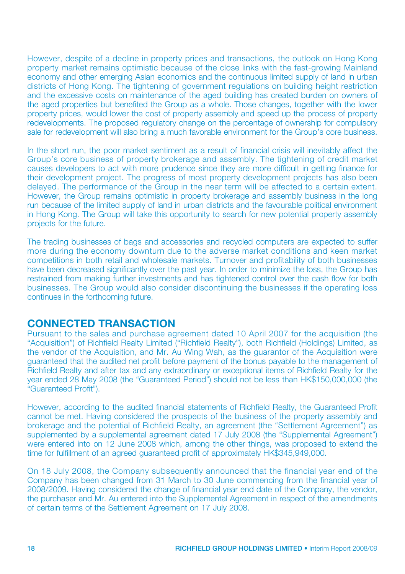However, despite of a decline in property prices and transactions, the outlook on Hong Kong property market remains optimistic because of the close links with the fast-growing Mainland economy and other emerging Asian economics and the continuous limited supply of land in urban districts of Hong Kong. The tightening of government regulations on building height restriction and the excessive costs on maintenance of the aged building has created burden on owners of the aged properties but benefited the Group as a whole. Those changes, together with the lower property prices, would lower the cost of property assembly and speed up the process of property redevelopments. The proposed regulatory change on the percentage of ownership for compulsory sale for redevelopment will also bring a much favorable environment for the Group's core business.

In the short run, the poor market sentiment as a result of financial crisis will inevitably affect the Group's core business of property brokerage and assembly. The tightening of credit market causes developers to act with more prudence since they are more difficult in getting finance for their development project. The progress of most property development projects has also been delayed. The performance of the Group in the near term will be affected to a certain extent. However, the Group remains optimistic in property brokerage and assembly business in the long run because of the limited supply of land in urban districts and the favourable political environment in Hong Kong. The Group will take this opportunity to search for new potential property assembly projects for the future.

The trading businesses of bags and accessories and recycled computers are expected to suffer more during the economy downturn due to the adverse market conditions and keen market competitions in both retail and wholesale markets. Turnover and profitability of both businesses have been decreased significantly over the past year. In order to minimize the loss, the Group has restrained from making further investments and has tightened control over the cash flow for both businesses. The Group would also consider discontinuing the businesses if the operating loss continues in the forthcoming future.

# CONNECTED TRANSACTION

Pursuant to the sales and purchase agreement dated 10 April 2007 for the acquisition (the "Acquisition") of Richfield Realty Limited ("Richfield Realty"), both Richfield (Holdings) Limited, as the vendor of the Acquisition, and Mr. Au Wing Wah, as the guarantor of the Acquisition were guaranteed that the audited net profit before payment of the bonus payable to the management of Richfield Realty and after tax and any extraordinary or exceptional items of Richfield Realty for the year ended 28 May 2008 (the "Guaranteed Period") should not be less than HK\$150,000,000 (the "Guaranteed Profit").

However, according to the audited financial statements of Richfield Realty, the Guaranteed Profit cannot be met. Having considered the prospects of the business of the property assembly and brokerage and the potential of Richfield Realty, an agreement (the "Settlement Agreement") as supplemented by a supplemental agreement dated 17 July 2008 (the "Supplemental Agreement") were entered into on 12 June 2008 which, among the other things, was proposed to extend the time for fulfillment of an agreed guaranteed profit of approximately HK\$345,949,000.

On 18 July 2008, the Company subsequently announced that the financial year end of the Company has been changed from 31 March to 30 June commencing from the financial year of 2008/2009. Having considered the change of financial year end date of the Company, the vendor, the purchaser and Mr. Au entered into the Supplemental Agreement in respect of the amendments of certain terms of the Settlement Agreement on 17 July 2008.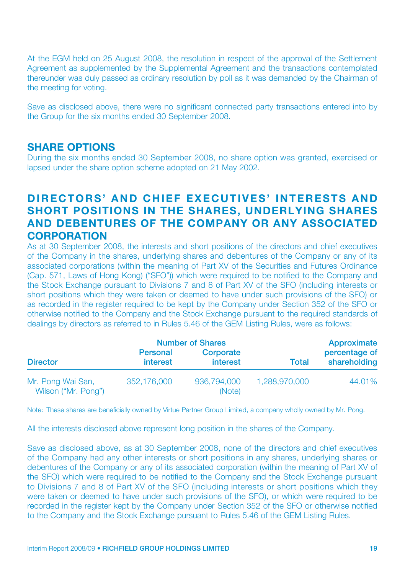At the EGM held on 25 August 2008, the resolution in respect of the approval of the Settlement Agreement as supplemented by the Supplemental Agreement and the transactions contemplated thereunder was duly passed as ordinary resolution by poll as it was demanded by the Chairman of the meeting for voting.

Save as disclosed above, there were no significant connected party transactions entered into by the Group for the six months ended 30 September 2008.

# **SHARE OPTIONS**

During the six months ended 30 September 2008, no share option was granted, exercised or lapsed under the share option scheme adopted on 21 May 2002.

# DIRECTORS' AND CHIEF EXECUTIVES' INTERESTS AND SHORT POSITIONS IN THE SHARES, UNDERLYING SHARES AND DEBENTURES OF THE COMPANY OR ANY ASSOCIATED **CORPORATION**

As at 30 September 2008, the interests and short positions of the directors and chief executives of the Company in the shares, underlying shares and debentures of the Company or any of its associated corporations (within the meaning of Part XV of the Securities and Futures Ordinance (Cap. 571, Laws of Hong Kong) ("SFO")) which were required to be notified to the Company and the Stock Exchange pursuant to Divisions 7 and 8 of Part XV of the SFO (including interests or short positions which they were taken or deemed to have under such provisions of the SFO) or as recorded in the register required to be kept by the Company under Section 352 of the SFO or otherwise notified to the Company and the Stock Exchange pursuant to the required standards of dealings by directors as referred to in Rules 5.46 of the GEM Listing Rules, were as follows:

|                                          | <b>Number of Shares</b>            |                       |               | Approximate                   |
|------------------------------------------|------------------------------------|-----------------------|---------------|-------------------------------|
| <b>Director</b>                          | <b>Personal</b><br><b>interest</b> | Corporate<br>interest | <b>Total</b>  | percentage of<br>shareholding |
| Mr. Pong Wai San,<br>Wilson ("Mr. Pong") | 352,176,000                        | 936,794,000<br>(Note) | 1,288,970,000 | 44.01%                        |

Note: These shares are beneficially owned by Virtue Partner Group Limited, a company wholly owned by Mr. Pong.

All the interests disclosed above represent long position in the shares of the Company.

Save as disclosed above, as at 30 September 2008, none of the directors and chief executives of the Company had any other interests or short positions in any shares, underlying shares or debentures of the Company or any of its associated corporation (within the meaning of Part XV of the SFO) which were required to be notified to the Company and the Stock Exchange pursuant to Divisions 7 and 8 of Part XV of the SFO (including interests or short positions which they were taken or deemed to have under such provisions of the SFO), or which were required to be recorded in the register kept by the Company under Section 352 of the SFO or otherwise notified to the Company and the Stock Exchange pursuant to Rules 5.46 of the GEM Listing Rules.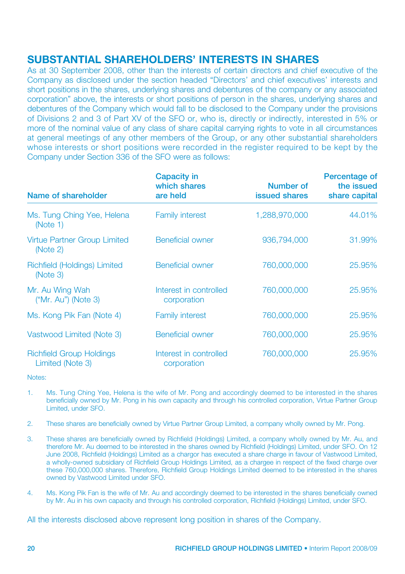# SUBSTANTIAL SHAREHOLDERS' INTERESTS IN SHARES

As at 30 September 2008, other than the interests of certain directors and chief executive of the Company as disclosed under the section headed "Directors' and chief executives' interests and short positions in the shares, underlying shares and debentures of the company or any associated corporation" above, the interests or short positions of person in the shares, underlying shares and debentures of the Company which would fall to be disclosed to the Company under the provisions of Divisions 2 and 3 of Part XV of the SFO or, who is, directly or indirectly, interested in 5% or more of the nominal value of any class of share capital carrying rights to vote in all circumstances at general meetings of any other members of the Group, or any other substantial shareholders whose interests or short positions were recorded in the register required to be kept by the Company under Section 336 of the SFO were as follows:

| Name of shareholder                                 | Capacity in<br>which shares<br>are held | Number of<br><b>issued shares</b> | Percentage of<br>the issued<br>share capital |
|-----------------------------------------------------|-----------------------------------------|-----------------------------------|----------------------------------------------|
| Ms. Tung Ching Yee, Helena<br>(Note 1)              | <b>Family interest</b>                  | 1,288,970,000                     | 44.01%                                       |
| <b>Virtue Partner Group Limited</b><br>(Note 2)     | Beneficial owner                        | 936,794,000                       | 31.99%                                       |
| Richfield (Holdings) Limited<br>(Note 3)            | Beneficial owner                        | 760,000,000                       | 25.95%                                       |
| Mr. Au Wing Wah<br>$('Mr. Au")$ (Note 3)            | Interest in controlled<br>corporation   | 760,000,000                       | 25.95%                                       |
| Ms. Kong Pik Fan (Note 4)                           | <b>Family interest</b>                  | 760,000,000                       | 25,95%                                       |
| Vastwood Limited (Note 3)                           | <b>Beneficial owner</b>                 | 760,000,000                       | 25.95%                                       |
| <b>Richfield Group Holdings</b><br>Limited (Note 3) | Interest in controlled<br>corporation   | 760,000,000                       | 25.95%                                       |

Notes:

- 1. Ms. Tung Ching Yee, Helena is the wife of Mr. Pong and accordingly deemed to be interested in the shares beneficially owned by Mr. Pong in his own capacity and through his controlled corporation, Virtue Partner Group Limited, under SFO.
- 2. These shares are beneficially owned by Virtue Partner Group Limited, a company wholly owned by Mr. Pong.
- 3. These shares are beneficially owned by Richfield (Holdings) Limited, a company wholly owned by Mr. Au, and therefore Mr. Au deemed to be interested in the shares owned by Richfield (Holdings) Limited, under SFO. On 12 June 2008, Richfield (Holdings) Limited as a chargor has executed a share charge in favour of Vastwood Limited, a wholly-owned subsidiary of Richfield Group Holdings Limited, as a chargee in respect of the fixed charge over these 760,000,000 shares. Therefore, Richfield Group Holdings Limited deemed to be interested in the shares owned by Vastwood Limited under SFO.
- 4. Ms. Kong Pik Fan is the wife of Mr. Au and accordingly deemed to be interested in the shares beneficially owned by Mr. Au in his own capacity and through his controlled corporation, Richfield (Holdings) Limited, under SFO.

All the interests disclosed above represent long position in shares of the Company.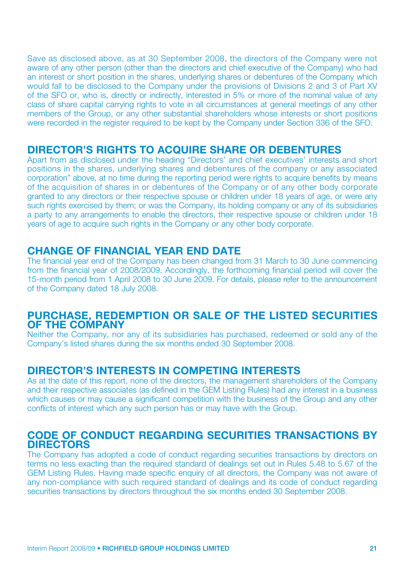Save as disclosed above, as at 30 September 2008, the directors of the Company were not aware of any other person (other than the directors and chief executive of the Company) who had an interest or short position in the shares, underlying shares or debentures of the Company which would fall to be disclosed to the Company under the provisions of Divisions 2 and 3 of Part XV of the SFO or, who is, directly or indirectly, interested in 5% or more of the nominal value of any class of share capital carrying rights to vote in all circumstances at general meetings of any other members of the Group, or any other substantial shareholders whose interests or short positions were recorded in the register required to be kept by the Company under Section 336 of the SFO.

# DIRECTOR'S RIGHTS TO ACQUIRE SHARE OR DEBENTURES

Apart from as disclosed under the heading "Directors' and chief executives' interests and short positions in the shares, underlying shares and debentures of the company or any associated corporation" above, at no time during the reporting period were rights to acquire benefits by means of the acquisition of shares in or debentures of the Company or of any other body corporate granted to any directors or their respective spouse or children under 18 years of age, or were any such rights exercised by them; or was the Company, its holding company or any of its subsidiaries a party to any arrangements to enable the directors, their respective spouse or children under 18 years of age to acquire such rights in the Company or any other body corporate.

# CHANGE OF FINANCIAL YEAR END DATE

The financial year end of the Company has been changed from 31 March to 30 June commencing from the financial year of 2008/2009. Accordingly, the forthcoming financial period will cover the 15-month period from 1 April 2008 to 30 June 2009. For details, please refer to the announcement of the Company dated 18 July 2008.

# PURCHASE, REDEMPTION OR SALE OF THE LISTED SECURITIES OF THE COMPANY

Neither the Company, nor any of its subsidiaries has purchased, redeemed or sold any of the Company's listed shares during the six months ended 30 September 2008.

# DIRECTOR'S INTERESTS IN COMPETING INTERESTS

As at the date of this report, none of the directors, the management shareholders of the Company and their respective associates (as defined in the GEM Listing Rules) had any interest in a business which causes or may cause a significant competition with the business of the Group and any other conflicts of interest which any such person has or may have with the Group.

# CODE OF CONDUCT REGARDING SECURITIES TRANSACTIONS BY **DIRECTORS**

The Company has adopted a code of conduct regarding securities transactions by directors on terms no less exacting than the required standard of dealings set out in Rules 5.48 to 5.67 of the GEM Listing Rules. Having made specific enquiry of all directors, the Company was not aware of any non-compliance with such required standard of dealings and its code of conduct regarding securities transactions by directors throughout the six months ended 30 September 2008.